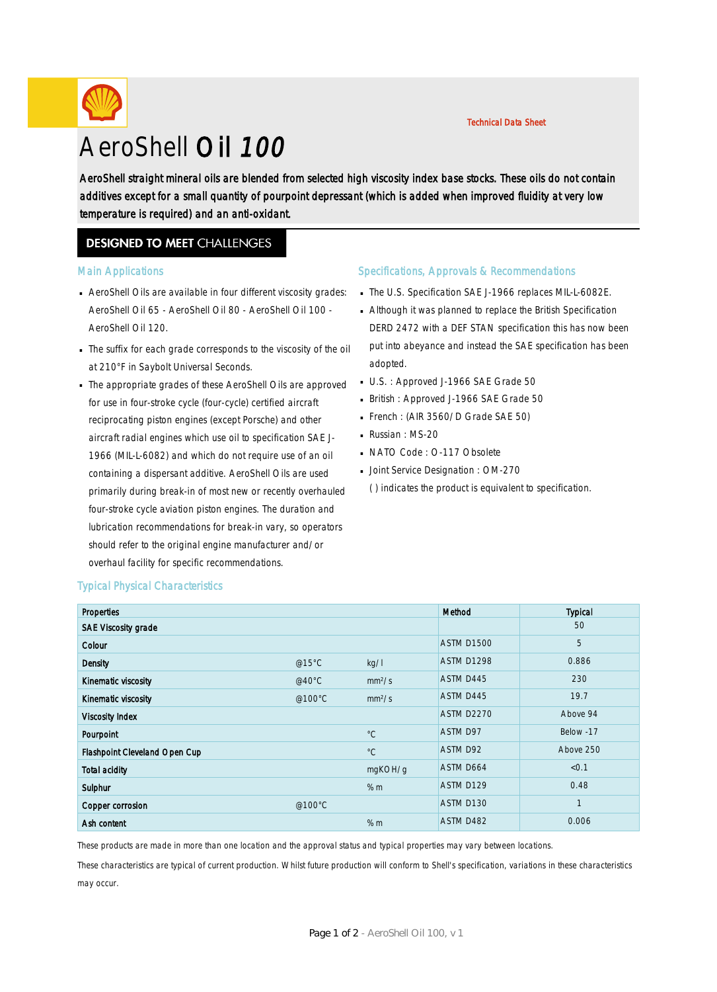### Technical Data Sheet

# AeroShell Oil 100

AeroShell straight mineral oils are blended from selected high viscosity index base stocks. These oils do not contain additives except for a small quantity of pourpoint depressant (which is added when improved fluidity at very low temperature is required) and an anti-oxidant.

# **DESIGNED TO MEET CHALLENGES**

#### Main Applications

- AeroShell Oils are available in four different viscosity grades: · AeroShell Oil 65 - AeroShell Oil 80 - AeroShell Oil 100 - AeroShell Oil 120.
- The suffix for each grade corresponds to the viscosity of the oil · at 210°F in Saybolt Universal Seconds.
- The appropriate grades of these AeroShell Oils are approved · for use in four-stroke cycle (four-cycle) certified aircraft reciprocating piston engines (except Porsche) and other aircraft radial engines which use oil to specification SAE J-1966 (MIL-L-6082) and which do not require use of an oil containing a dispersant additive. AeroShell Oils are used primarily during break-in of most new or recently overhauled four-stroke cycle aviation piston engines. The duration and lubrication recommendations for break-in vary, so operators should refer to the original engine manufacturer and/or overhaul facility for specific recommendations.

#### Specifications, Approvals & Recommendations

- The U.S. Specification SAE J-1966 replaces MIL-L-6082E.
- Although it was planned to replace the British Specification · DERD 2472 with a DEF STAN specification this has now been put into abeyance and instead the SAE specification has been adopted.
- U.S. : Approved J-1966 SAE Grade 50
- British : Approved J-1966 SAE Grade 50
- French : (AIR 3560/D Grade SAE 50)
- Russian : MS-20
- NATO Code: O-117 Obsolete
- **Joint Service Designation : OM-270**

( ) indicates the product is equivalent to specification.

| <b>Properties</b>             |          |                    | Method            | <b>Typical</b> |
|-------------------------------|----------|--------------------|-------------------|----------------|
| <b>SAE Viscosity grade</b>    |          |                    |                   | 50             |
| Colour                        |          |                    | <b>ASTM D1500</b> | 5              |
| Density                       | @15 $°C$ | kg/l               | <b>ASTM D1298</b> | 0.886          |
| Kinematic viscosity           | @40 $°C$ | mm <sup>2</sup> /s | ASTM D445         | 230            |
| Kinematic viscosity           | @100°C   | mm <sup>2</sup> /s | ASTM D445         | 19.7           |
| <b>Viscosity Index</b>        |          |                    | <b>ASTM D2270</b> | Above 94       |
| Pourpoint                     |          | $^{\circ}C$        | ASTM D97          | Below -17      |
| Flashpoint Cleveland Open Cup |          | $^{\circ}C$        | ASTM D92          | Above 250      |
| <b>Total acidity</b>          |          | mgKOH/g            | ASTM D664         | < 0.1          |
| Sulphur                       |          | % m                | ASTM D129         | 0.48           |
| Copper corrosion              | @100°C   |                    | ASTM D130         | $\mathbf{1}$   |
| Ash content                   |          | % m                | ASTM D482         | 0.006          |

# Typical Physical Characteristics

These products are made in more than one location and the approval status and typical properties may vary between locations.

These characteristics are typical of current production. Whilst future production will conform to Shell's specification, variations in these characteristics may occur.